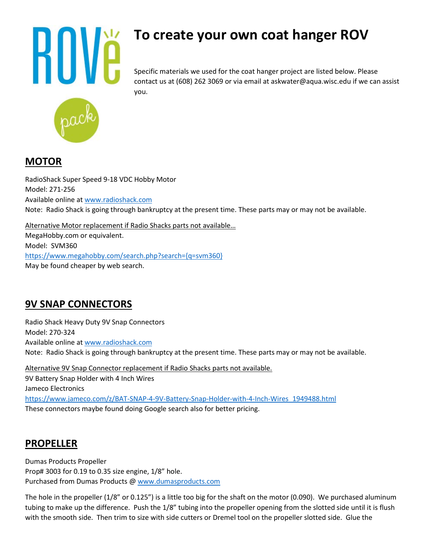

# **To create your own coat hanger ROV**

Specific materials we used for the coat hanger project are listed below. Please contact us at (608) 262 3069 or via email at askwater@aqua.wisc.edu if we can assist you.

## **MOTOR**

RadioShack Super Speed 9-18 VDC Hobby Motor Model: 271-256 Available online at [www.radioshack.com](http://www.radioshack.com/) Note: Radio Shack is going through bankruptcy at the present time. These parts may or may not be available.

Alternative Motor replacement if Radio Shacks parts not available…

MegaHobby.com or equivalent. Model: SVM360 [https://www.megahobby.com/search.php?search={q=svm360}](https://www.megahobby.com/search.php?search=%7bq=svm360%7d) May be found cheaper by web search.

# **9V SNAP CONNECTORS**

Radio Shack Heavy Duty 9V Snap Connectors Model: 270-324 Available online at [www.radioshack.com](http://www.radioshack.com/) Note: Radio Shack is going through bankruptcy at the present time. These parts may or may not be available.

Alternative 9V Snap Connector replacement if Radio Shacks parts not available. 9V Battery Snap Holder with 4 Inch Wires Jameco Electronics [https://www.jameco.com/z/BAT-SNAP-4-9V-Battery-Snap-Holder-with-4-Inch-Wires\\_1949488.html](https://www.jameco.com/z/BAT-SNAP-4-9V-Battery-Snap-Holder-with-4-Inch-Wires_1949488.html) These connectors maybe found doing Google search also for better pricing.

## **PROPELLER**

Dumas Products Propeller Prop# 3003 for 0.19 to 0.35 size engine, 1/8" hole. Purchased from Dumas Products @ [www.dumasproducts.com](http://www.dumasproducts.com/)

The hole in the propeller (1/8" or 0.125") is a little too big for the shaft on the motor (0.090). We purchased aluminum tubing to make up the difference. Push the 1/8" tubing into the propeller opening from the slotted side until it is flush with the smooth side. Then trim to size with side cutters or Dremel tool on the propeller slotted side. Glue the